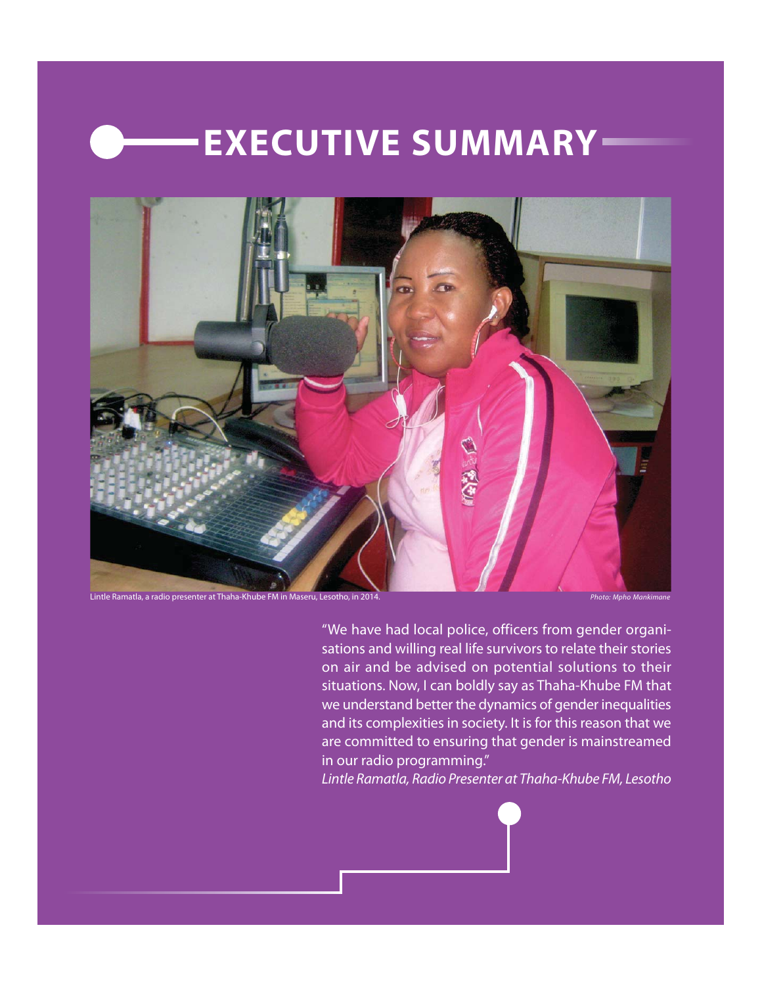# **EXECUTIVE SUMMARY**



Lintle Ramatla, a radio presenter at Thaha-Khube FM in Maseru, Lesotho, in 2014. Photo: Mono Mankimane Photo: Mpho Mankimane

"We have had local police, officers from gender organisations and willing real life survivors to relate their stories on air and be advised on potential solutions to their situations. Now, I can boldly say as Thaha-Khube FM that we understand better the dynamics of gender inequalities and its complexities in society. It is for this reason that we are committed to ensuring that gender is mainstreamed in our radio programming."

Lintle Ramatla, Radio Presenter at Thaha-Khube FM, Lesotho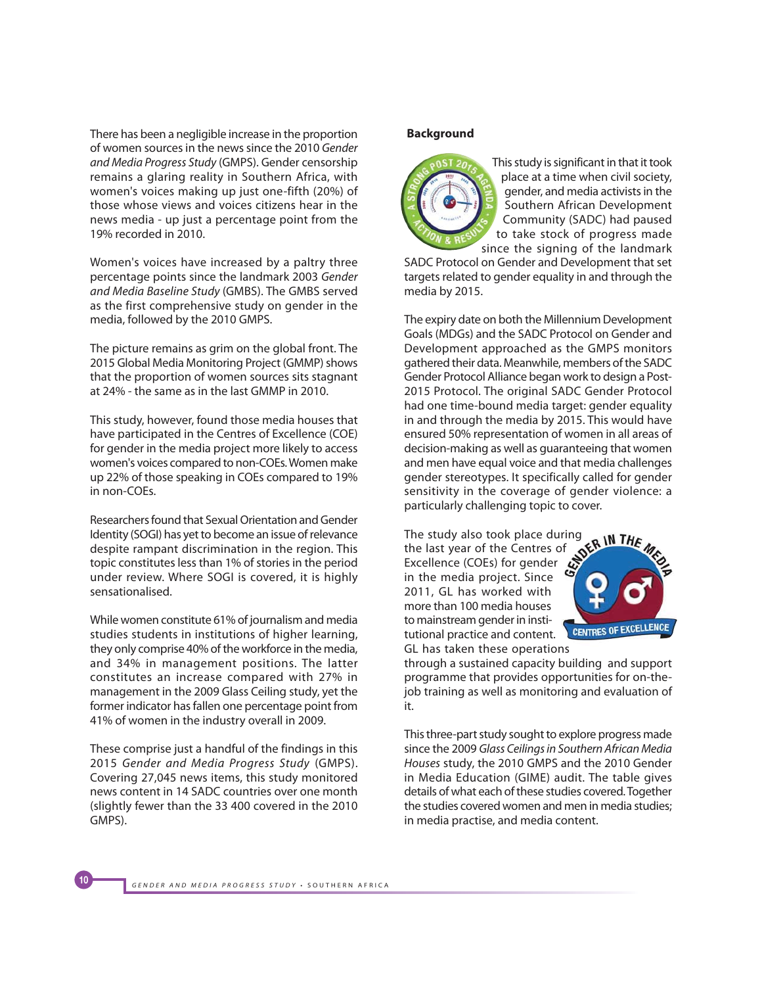There has been a negligible increase in the proportion of women sources in the news since the 2010 Gender and Media Progress Study (GMPS). Gender censorship remains a glaring reality in Southern Africa, with women's voices making up just one-fifth (20%) of those whose views and voices citizens hear in the news media - up just a percentage point from the 19% recorded in 2010.

Women's voices have increased by a paltry three percentage points since the landmark 2003 Gender and Media Baseline Study (GMBS). The GMBS served as the first comprehensive study on gender in the media, followed by the 2010 GMPS.

The picture remains as grim on the global front. The 2015 Global Media Monitoring Project (GMMP) shows that the proportion of women sources sits stagnant at 24% - the same as in the last GMMP in 2010.

This study, however, found those media houses that have participated in the Centres of Excellence (COE) for gender in the media project more likely to access women's voices compared to non-COEs. Women make up 22% of those speaking in COEs compared to 19% in non-COEs.

Researchers found that Sexual Orientation and Gender Identity (SOGI) has yet to become an issue of relevance despite rampant discrimination in the region. This topic constitutes less than 1% of stories in the period under review. Where SOGI is covered, it is highly sensationalised.

While women constitute 61% of journalism and media studies students in institutions of higher learning, they only comprise 40% of the workforce in the media, and 34% in management positions. The latter constitutes an increase compared with 27% in management in the 2009 Glass Ceiling study, yet the former indicator has fallen one percentage point from 41% of women in the industry overall in 2009.

These comprise just a handful of the findings in this 2015 Gender and Media Progress Study (GMPS). Covering 27,045 news items, this study monitored news content in 14 SADC countries over one month (slightly fewer than the 33 400 covered in the 2010 GMPS).

#### **Background**



This study is significant in that it took place at a time when civil society, gender, and media activists in the Southern African Development Community (SADC) had paused to take stock of progress made since the signing of the landmark

SADC Protocol on Gender and Development that set targets related to gender equality in and through the media by 2015.

The expiry date on both the Millennium Development Goals (MDGs) and the SADC Protocol on Gender and Development approached as the GMPS monitors gathered their data. Meanwhile, members of the SADC Gender Protocol Alliance began work to design a Post-2015 Protocol. The original SADC Gender Protocol had one time-bound media target: gender equality in and through the media by 2015. This would have ensured 50% representation of women in all areas of decision-making as well as guaranteeing that women and men have equal voice and that media challenges gender stereotypes. It specifically called for gender sensitivity in the coverage of gender violence: a particularly challenging topic to cover.

The study also took place during the last year of the Centres of Excellence (COEs) for gender  $\ddot{\mathcal{L}}$ in the media project. Since 2011, GL has worked with more than 100 media houses to mainstream gender in institutional practice and content. GL has taken these operations



through a sustained capacity building and support programme that provides opportunities for on-thejob training as well as monitoring and evaluation of it.

This three-part study sought to explore progress made since the 2009 Glass Ceilings in Southern African Media Houses study, the 2010 GMPS and the 2010 Gender in Media Education (GIME) audit. The table gives details of what each of these studies covered. Together the studies covered women and men in media studies; in media practise, and media content.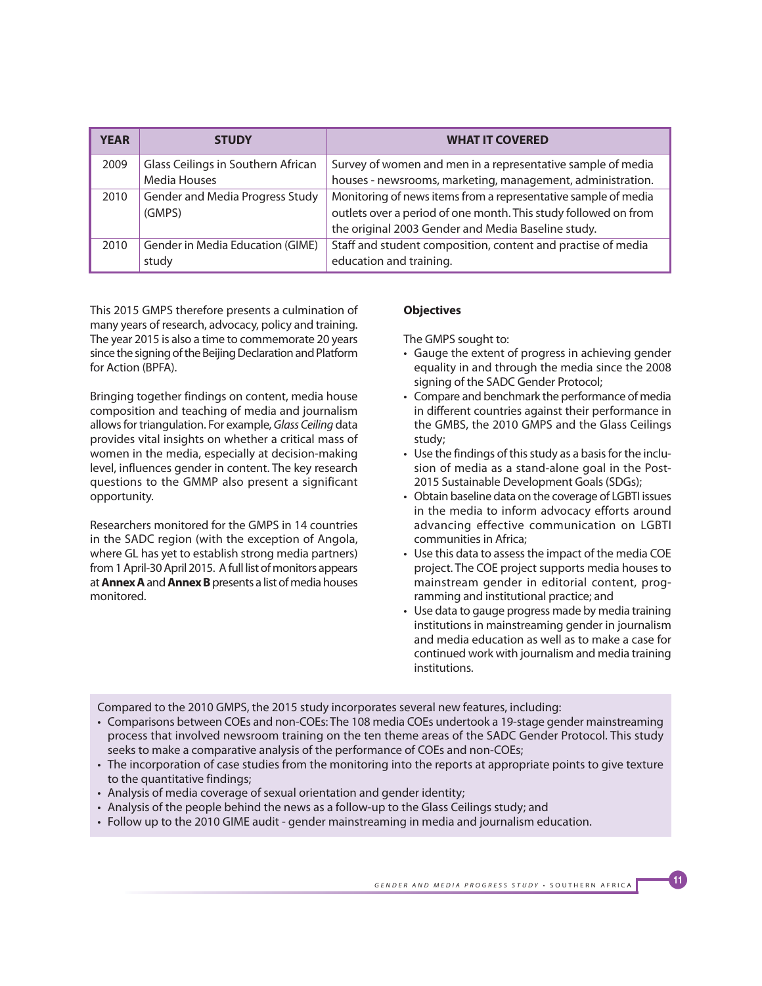| <b>YEAR</b> | <b>STUDY</b>                                       | <b>WHAT IT COVERED</b>                                                                                                                                                                  |
|-------------|----------------------------------------------------|-----------------------------------------------------------------------------------------------------------------------------------------------------------------------------------------|
| 2009        | Glass Ceilings in Southern African<br>Media Houses | Survey of women and men in a representative sample of media<br>houses - newsrooms, marketing, management, administration.                                                               |
| 2010        | Gender and Media Progress Study<br>(GMPS)          | Monitoring of news items from a representative sample of media<br>outlets over a period of one month. This study followed on from<br>the original 2003 Gender and Media Baseline study. |
| 2010        | Gender in Media Education (GIME)<br>study          | Staff and student composition, content and practise of media<br>education and training.                                                                                                 |

This 2015 GMPS therefore presents a culmination of many years of research, advocacy, policy and training. The year 2015 is also a time to commemorate 20 years since the signing of the Beijing Declaration and Platform for Action (BPFA).

Bringing together findings on content, media house composition and teaching of media and journalism allows for triangulation. For example, Glass Ceiling data provides vital insights on whether a critical mass of women in the media, especially at decision-making level, influences gender in content. The key research questions to the GMMP also present a significant opportunity.

Researchers monitored for the GMPS in 14 countries in the SADC region (with the exception of Angola, where GL has yet to establish strong media partners) from 1 April-30 April 2015. A full list of monitors appears at **Annex A** and **Annex B** presents a list of media houses monitored.

# **Objectives**

The GMPS sought to:

- Gauge the extent of progress in achieving gender equality in and through the media since the 2008 signing of the SADC Gender Protocol;
- Compare and benchmark the performance of media in different countries against their performance in the GMBS, the 2010 GMPS and the Glass Ceilings study;
- Use the findings of this study as a basis for the inclusion of media as a stand-alone goal in the Post-2015 Sustainable Development Goals (SDGs);
- Obtain baseline data on the coverage of LGBTI issues in the media to inform advocacy efforts around advancing effective communication on LGBTI communities in Africa;
- Use this data to assess the impact of the media COE project. The COE project supports media houses to mainstream gender in editorial content, programming and institutional practice; and
- Use data to gauge progress made by media training institutions in mainstreaming gender in journalism and media education as well as to make a case for continued work with journalism and media training institutions.

Compared to the 2010 GMPS, the 2015 study incorporates several new features, including:

- Comparisons between COEs and non-COEs: The 108 media COEs undertook a 19-stage gender mainstreaming process that involved newsroom training on the ten theme areas of the SADC Gender Protocol. This study seeks to make a comparative analysis of the performance of COEs and non-COEs;
- The incorporation of case studies from the monitoring into the reports at appropriate points to give texture to the quantitative findings;
- Analysis of media coverage of sexual orientation and gender identity;
- Analysis of the people behind the news as a follow-up to the Glass Ceilings study; and
- Follow up to the 2010 GIME audit gender mainstreaming in media and journalism education.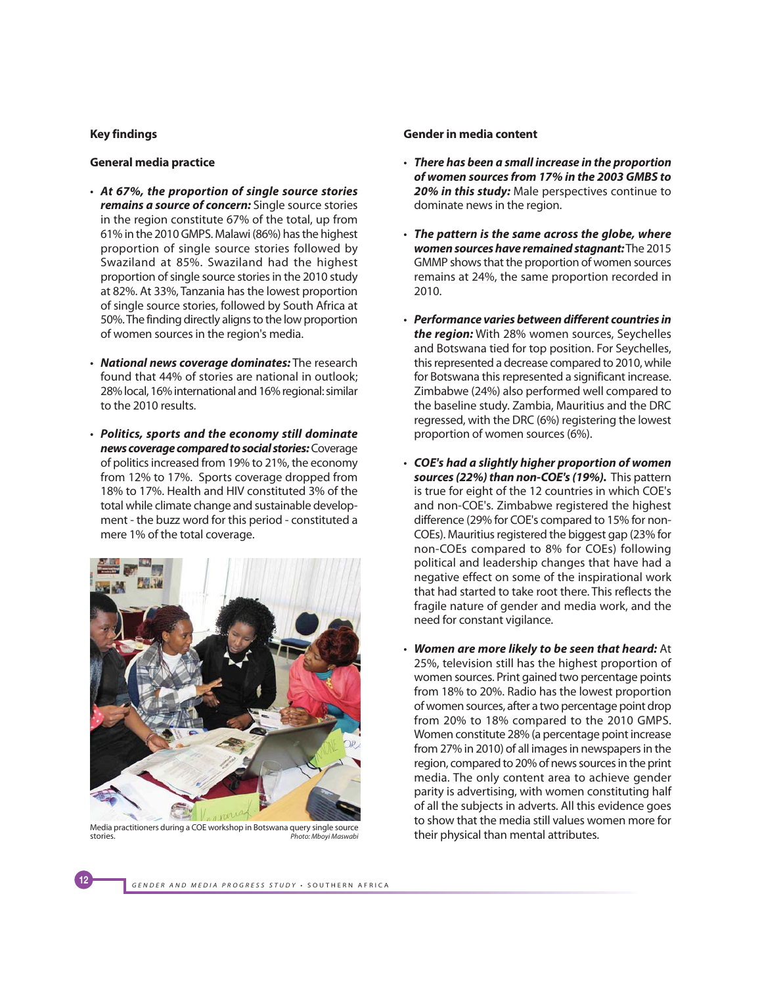## **Key findings**

#### **General media practice**

- **At 67%, the proportion of single source stories remains a source of concern:** Single source stories in the region constitute 67% of the total, up from 61% in the 2010 GMPS. Malawi (86%) has the highest proportion of single source stories followed by Swaziland at 85%. Swaziland had the highest proportion of single source stories in the 2010 study at 82%. At 33%, Tanzania has the lowest proportion of single source stories, followed by South Africa at 50%. The finding directly aligns to the low proportion of women sources in the region's media.
- **National news coverage dominates:** The research found that 44% of stories are national in outlook; 28% local, 16% international and 16% regional: similar to the 2010 results.
- **Politics, sports and the economy still dominate news coverage compared to social stories:** Coverage of politics increased from 19% to 21%, the economy from 12% to 17%. Sports coverage dropped from 18% to 17%. Health and HIV constituted 3% of the total while climate change and sustainable development - the buzz word for this period - constituted a mere 1% of the total coverage.



Media practitioners during a COE workshop in Botswana query single source<br>stories. Photo: Mbovi Maswabi Photo: Mboyi Maswabi

#### **Gender in media content**

- **There has been a small increase in the proportion of women sources from 17% in the 2003 GMBS to 20% in this study:** Male perspectives continue to dominate news in the region.
- **The pattern is the same across the globe, where women sources have remained stagnant:** The 2015 GMMP shows that the proportion of women sources remains at 24%, the same proportion recorded in 2010.
- **Performance varies between different countries in the region:** With 28% women sources, Seychelles and Botswana tied for top position. For Seychelles, this represented a decrease compared to 2010, while for Botswana this represented a significant increase. Zimbabwe (24%) also performed well compared to the baseline study. Zambia, Mauritius and the DRC regressed, with the DRC (6%) registering the lowest proportion of women sources (6%).
- **COE's had a slightly higher proportion of women sources (22%) than non-COE's (19%).** This pattern is true for eight of the 12 countries in which COE's and non-COE's. Zimbabwe registered the highest difference (29% for COE's compared to 15% for non-COEs). Mauritius registered the biggest gap (23% for non-COEs compared to 8% for COEs) following political and leadership changes that have had a negative effect on some of the inspirational work that had started to take root there. This reflects the fragile nature of gender and media work, and the need for constant vigilance.
- **Women are more likely to be seen that heard:** At 25%, television still has the highest proportion of women sources. Print gained two percentage points from 18% to 20%. Radio has the lowest proportion of women sources, after a two percentage point drop from 20% to 18% compared to the 2010 GMPS. Women constitute 28% (a percentage point increase from 27% in 2010) of all images in newspapers in the region, compared to 20% of news sources in the print media. The only content area to achieve gender parity is advertising, with women constituting half of all the subjects in adverts. All this evidence goes to show that the media still values women more for their physical than mental attributes.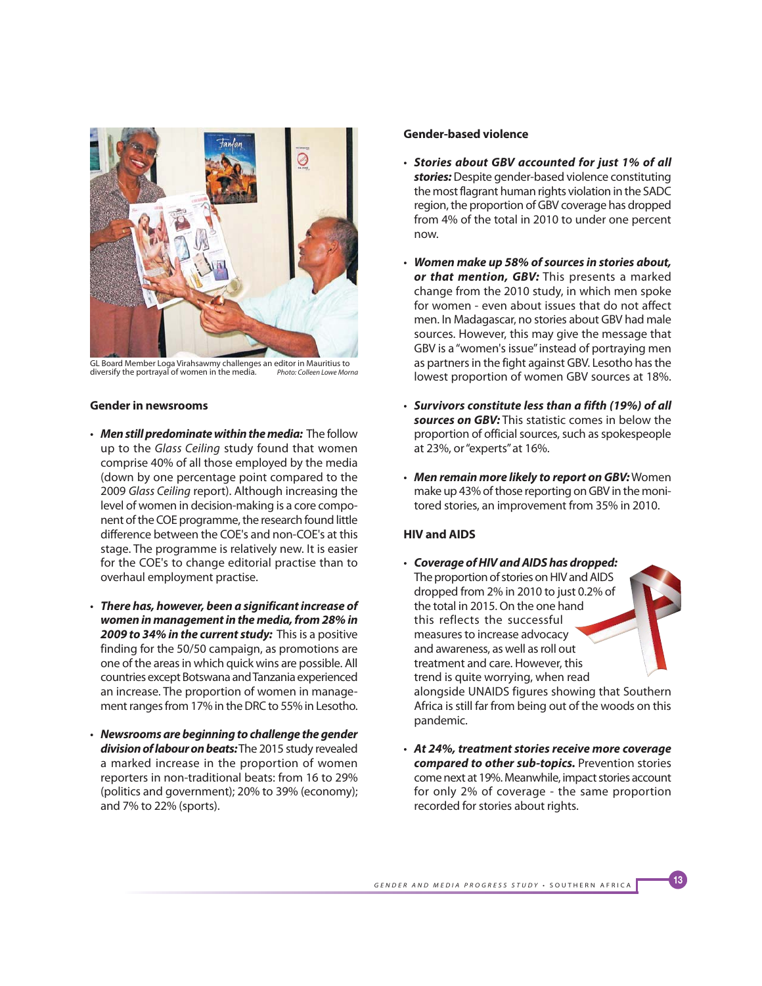

GL Board Member Loga Virahsawmy challenges an editor in Mauritius to<br>diversify the portrayal of women in the media. Photo: Colleen Lowe Morna

## **Gender in newsrooms**

- **Men still predominate within the media:** The follow up to the Glass Ceiling study found that women comprise 40% of all those employed by the media (down by one percentage point compared to the 2009 Glass Ceiling report). Although increasing the level of women in decision-making is a core component of the COE programme, the research found little difference between the COE's and non-COE's at this stage. The programme is relatively new. It is easier for the COE's to change editorial practise than to overhaul employment practise.
- **There has, however, been a significant increase of women in management in the media, from 28% in 2009 to 34% in the current study:** This is a positive finding for the 50/50 campaign, as promotions are one of the areas in which quick wins are possible. All countries except Botswana and Tanzania experienced an increase. The proportion of women in management ranges from 17% in the DRC to 55% in Lesotho.
- **Newsrooms are beginning to challenge the gender division of labour on beats:** The 2015 study revealed a marked increase in the proportion of women reporters in non-traditional beats: from 16 to 29% (politics and government); 20% to 39% (economy); and 7% to 22% (sports).

## **Gender-based violence**

- **Stories about GBV accounted for just 1% of all stories:** Despite gender-based violence constituting the most flagrant human rights violation in the SADC region, the proportion of GBV coverage has dropped from 4% of the total in 2010 to under one percent now.
- **Women make up 58% of sources in stories about, or that mention, GBV:** This presents a marked change from the 2010 study, in which men spoke for women - even about issues that do not affect men. In Madagascar, no stories about GBV had male sources. However, this may give the message that GBV is a "women's issue" instead of portraying men as partners in the fight against GBV. Lesotho has the lowest proportion of women GBV sources at 18%.
- **Survivors constitute less than a fifth (19%) of all sources on GBV:** This statistic comes in below the proportion of official sources, such as spokespeople at 23%, or "experts" at 16%.
- **Men remain more likely to report on GBV:** Women make up 43% of those reporting on GBV in the monitored stories, an improvement from 35% in 2010.

## **HIV and AIDS**

- **Coverage of HIV and AIDS has dropped:** The proportion of stories on HIV and AIDS dropped from 2% in 2010 to just 0.2% of the total in 2015. On the one hand this reflects the successful measures to increase advocacy and awareness, as well as roll out treatment and care. However, this trend is quite worrying, when read alongside UNAIDS figures showing that Southern Africa is still far from being out of the woods on this pandemic.
- **At 24%, treatment stories receive more coverage compared to other sub-topics.** Prevention stories come next at 19%. Meanwhile, impact stories account for only 2% of coverage - the same proportion recorded for stories about rights.